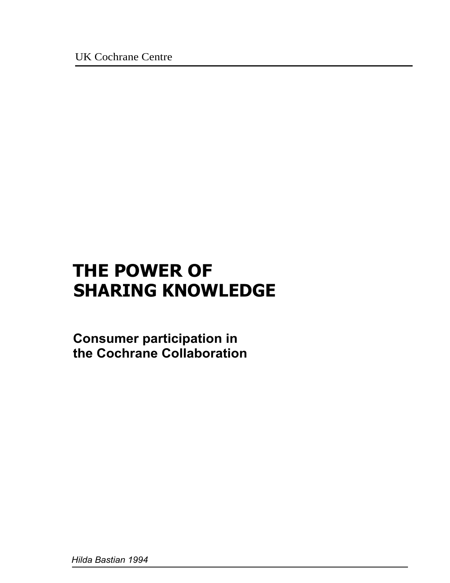UK Cochrane Centre

# **THE POWER OF SHARING KNOWLEDGE**

**Consumer participation in the Cochrane Collaboration**

*Hilda Bastian 1994*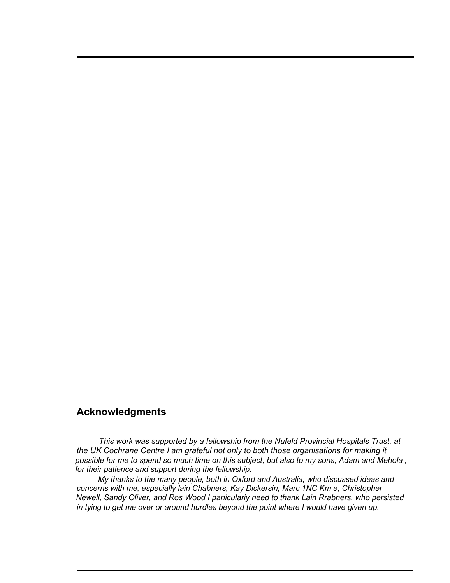#### **Acknowledgments**

*This work was supported by a fellowship from the Nufeld Provincial Hospitals Trust, at the UK Cochrane Centre I am grateful not only to both those organisations for making it possible for me to spend so much time on this subject, but also to my sons, Adam and Mehola , for their patience and support during the fellowship.*

*My thanks to the many people, both in Oxford and Australia, who discussed ideas and concerns with me, especially lain Chabners, Kay Dickersin, Marc 1NC Km e, Christopher Newell, Sandy Oliver, and Ros Wood I paniculariy need to thank Lain Rrabners, who persisted in tying to get me over or around hurdles beyond the point where I would have given up.*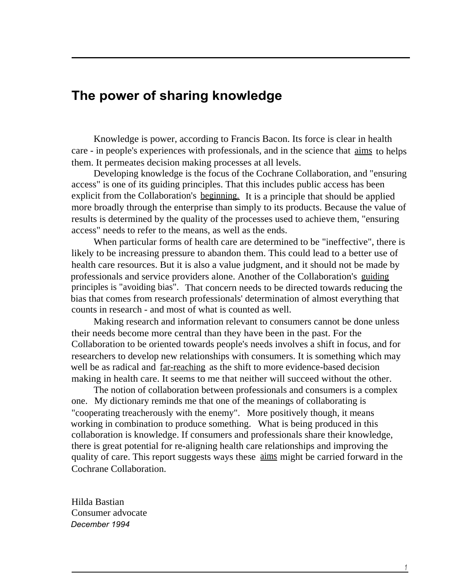## **The power of sharing knowledge**

Knowledge is power, according to Francis Bacon. Its force is clear in health care - in people's experiences with professionals, and in the science that aims to helps them. It permeates decision making processes at all levels.

Developing knowledge is the focus of the Cochrane Collaboration, and "ensuring access" is one of its guiding principles. That this includes public access has been explicit from the Collaboration's beginning. It is a principle that should be applied more broadly through the enterprise than simply to its products. Because the value of results is determined by the quality of the processes used to achieve them, "ensuring access" needs to refer to the means, as well as the ends.

When particular forms of health care are determined to be "ineffective", there is likely to be increasing pressure to abandon them. This could lead to a better use of health care resources. But it is also a value judgment, and it should not be made by professionals and service providers alone. Another of the Collaboration's guiding principles is "avoiding bias". That concern needs to be directed towards reducing the bias that comes from research professionals' determination of almost everything that counts in research - and most of what is counted as well.

Making research and information relevant to consumers cannot be done unless their needs become more central than they have been in the past. For the Collaboration to be oriented towards people's needs involves a shift in focus, and for researchers to develop new relationships with consumers. It is something which may well be as radical and far-reaching as the shift to more evidence-based decision making in health care. It seems to me that neither will succeed without the other.

The notion of collaboration between professionals and consumers is a complex one. My dictionary reminds me that one of the meanings of collaborating is "cooperating treacherously with the enemy". More positively though, it means working in combination to produce something. What is being produced in this collaboration is knowledge. If consumers and professionals share their knowledge, there is great potential for re-aligning health care relationships and improving the quality of care. This report suggests ways these aims might be carried forward in the Cochrane Collaboration.

Hilda Bastian Consumer advocate *December 1994*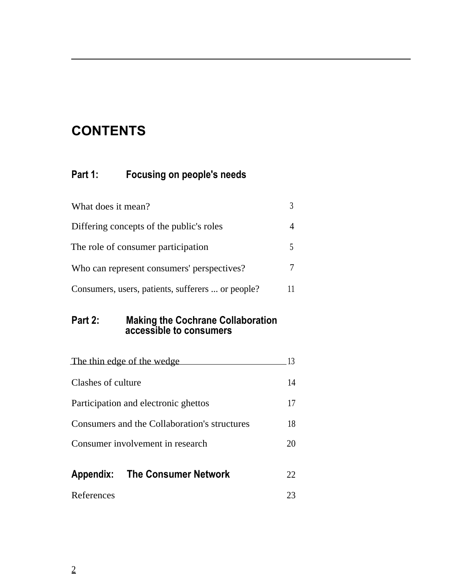## **CONTENTS**

### **Part 1: Focusing on people's needs**

| What does it mean?                                |  |
|---------------------------------------------------|--|
| Differing concepts of the public's roles          |  |
| The role of consumer participation                |  |
| Who can represent consumers' perspectives?        |  |
| Consumers, users, patients, sufferers  or people? |  |

#### **Part 2: Making the Cochrane Collaboration accessible to consumers**

|                                                                                      | The thin edge of the wedge            |     |
|--------------------------------------------------------------------------------------|---------------------------------------|-----|
| Clashes of culture                                                                   |                                       | 14  |
| Participation and electronic ghettos<br>Consumers and the Collaboration's structures |                                       | 17  |
|                                                                                      |                                       | 18  |
| Consumer involvement in research                                                     |                                       | 20  |
|                                                                                      | <b>Appendix:</b> The Consumer Network | 22. |
| References                                                                           |                                       | 23  |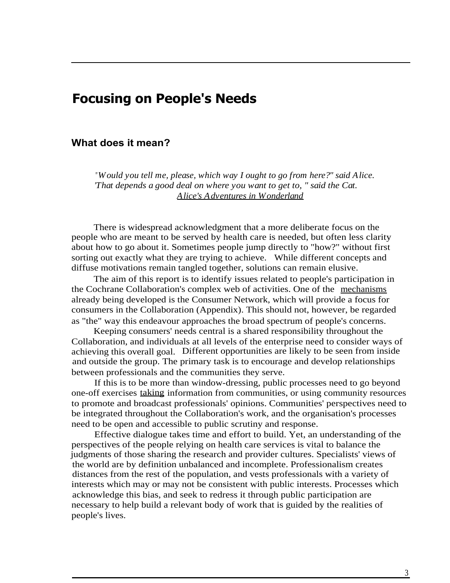## **Focusing on People's Needs**

#### **What does it mean?**

*"Would you tell me, please, which way I ought to go from here?" said Alice. 'That depends a good deal on where you want to get to, " said the Cat. Alice's Adventures in Wonderland*

There is widespread acknowledgment that a more deliberate focus on the people who are meant to be served by health care is needed, but often less clarity about how to go about it. Sometimes people jump directly to "how?" without first sorting out exactly what they are trying to achieve. While different concepts and diffuse motivations remain tangled together, solutions can remain elusive.

The aim of this report is to identify issues related to people's participation in the Cochrane Collaboration's complex web of activities. One of the mechanisms already being developed is the Consumer Network, which will provide a focus for consumers in the Collaboration (Appendix). This should not, however, be regarded as "the" way this endeavour approaches the broad spectrum of people's concerns.

Keeping consumers' needs central is a shared responsibility throughout the Collaboration, and individuals at all levels of the enterprise need to consider ways of achieving this overall goal. Different opportunities are likely to be seen from inside and outside the group. The primary task is to encourage and develop relationships between professionals and the communities they serve.

If this is to be more than window-dressing, public processes need to go beyond one-off exercises taking information from communities, or using community resources to promote and broadcast professionals' opinions. Communities' perspectives need to be integrated throughout the Collaboration's work, and the organisation's processes need to be open and accessible to public scrutiny and response.

Effective dialogue takes time and effort to build. Yet, an understanding of the perspectives of the people relying on health care services is vital to balance the judgments of those sharing the research and provider cultures. Specialists' views of the world are by definition unbalanced and incomplete. Professionalism creates distances from the rest of the population, and vests professionals with a variety of interests which may or may not be consistent with public interests. Processes which acknowledge this bias, and seek to redress it through public participation are necessary to help build a relevant body of work that is guided by the realities of people's lives.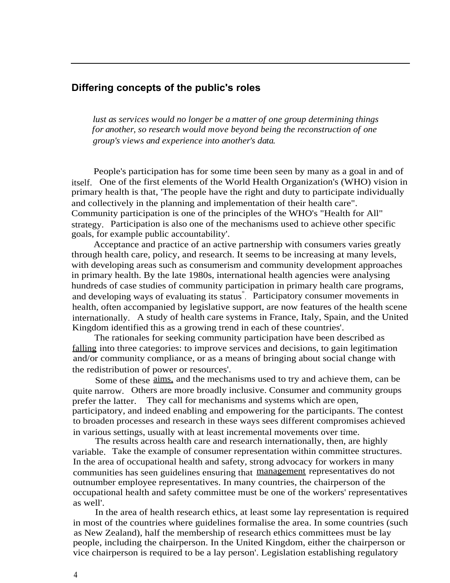#### **Differing concepts of the public's roles**

*lust as services would no longer be a matter of one group determining things for another, so research would move beyond being the reconstruction of one group's views and experience into another's data.*

People's participation has for some time been seen by many as a goal in and of itself. One of the first elements of the World Health Organization's (WHO) vision in primary health is that, 'The people have the right and duty to participate individually and collectively in the planning and implementation of their health care". Community participation is one of the principles of the WHO's "Health for All" strategy. Participation is also one of the mechanisms used to achieve other specific goals, for example public accountability'.

Acceptance and practice of an active partnership with consumers varies greatly through health care, policy, and research. It seems to be increasing at many levels, with developing areas such as consumerism and community development approaches in primary health. By the late 1980s, international health agencies were analysing hundreds of case studies of community participation in primary health care programs, and developing ways of evaluating its status° . Participatory consumer movements in health, often accompanied by legislative support, are now features of the health scene internationally. A study of health care systems in France, Italy, Spain, and the United Kingdom identified this as a growing trend in each of these countries'.

The rationales for seeking community participation have been described as falling into three categories: to improve services and decisions, to gain legitimation and/or community compliance, or as a means of bringing about social change with the redistribution of power or resources'.

Some of these aims, and the mechanisms used to try and achieve them, can be quite narrow. Others are more broadly inclusive. Consumer and community groups prefer the latter. They call for mechanisms and systems which are open, participatory, and indeed enabling and empowering for the participants. The contest to broaden processes and research in these ways sees different compromises achieved in various settings, usually with at least incremental movements over time.

The results across health care and research internationally, then, are highly variable. Take the example of consumer representation within committee structures. In the area of occupational health and safety, strong advocacy for workers in many communities has seen guidelines ensuring that management representatives do not outnumber employee representatives. In many countries, the chairperson of the occupational health and safety committee must be one of the workers' representatives as well'.

In the area of health research ethics, at least some lay representation is required in most of the countries where guidelines formalise the area. In some countries (such as New Zealand), half the membership of research ethics committees must be lay people, including the chairperson. In the United Kingdom, either the chairperson or vice chairperson is required to be a lay person'. Legislation establishing regulatory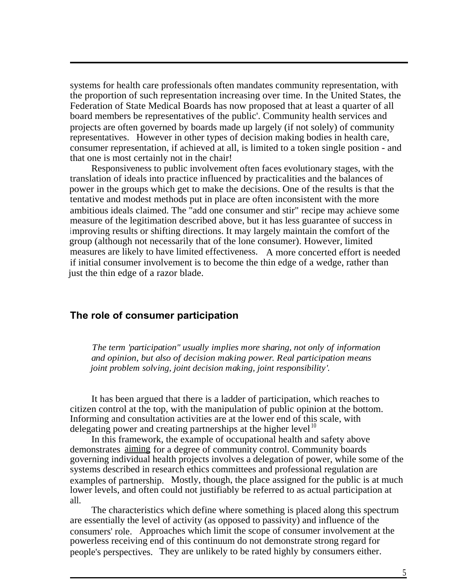systems for health care professionals often mandates community representation, with the proportion of such representation increasing over time. In the United States, the Federation of State Medical Boards has now proposed that at least a quarter of all board members be representatives of the public'. Community health services and projects are often governed by boards made up largely (if not solely) of community representatives. However in other types of decision making bodies in health care, consumer representation, if achieved at all, is limited to a token single position - and that one is most certainly not in the chair!

Responsiveness to public involvement often faces evolutionary stages, with the translation of ideals into practice influenced by practicalities and the balances of power in the groups which get to make the decisions. One of the results is that the tentative and modest methods put in place are often inconsistent with the more ambitious ideals claimed. The "add one consumer and stir" recipe may achieve some measure of the legitimation described above, but it has less guarantee of success in improving results or shifting directions. It may largely maintain the comfort of the group (although not necessarily that of the lone consumer). However, limited measures are likely to have limited effectiveness. A more concerted effort is needed if initial consumer involvement is to become the thin edge of a wedge, rather than just the thin edge of a razor blade.

#### **The role of consumer participation**

*The term 'participation" usually implies more sharing, not only of information and opinion, but also of decision making power. Real participation means joint problem solving, joint decision making, joint responsibility'.*

It has been argued that there is a ladder of participation, which reaches to citizen control at the top, with the manipulation of public opinion at the bottom. Informing and consultation activities are at the lower end of this scale, with delegating power and creating partnerships at the higher level  $10$ 

In this framework, the example of occupational health and safety above demonstrates aiming for a degree of community control. Community boards governing individual health projects involves a delegation of power, while some of the systems described in research ethics committees and professional regulation are examples of partnership. Mostly, though, the place assigned for the public is at much lower levels, and often could not justifiably be referred to as actual participation at all.

The characteristics which define where something is placed along this spectrum are essentially the level of activity (as opposed to passivity) and influence of the consumers' role. Approaches which limit the scope of consumer involvement at the powerless receiving end of this continuum do not demonstrate strong regard for people's perspectives. They are unlikely to be rated highly by consumers either.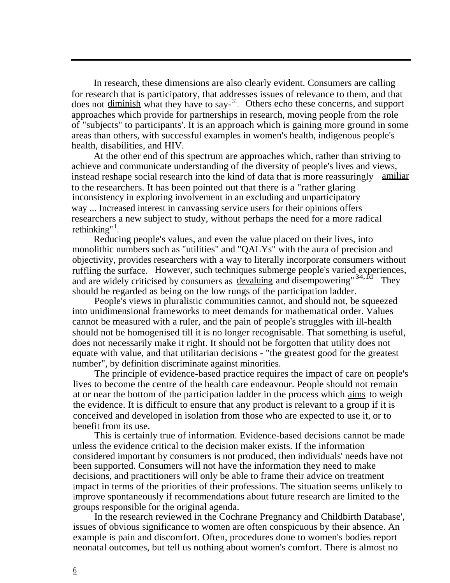In research, these dimensions are also clearly evident. Consumers are calling for research that is participatory, that addresses issues of relevance to them, and that does not diminish what they have to say-<sup>31</sup>. Others echo these concerns, and support approaches which provide for partnerships in research, moving people from the role of "subjects" to participants'. It is an approach which is gaining more ground in some areas than others, with successful examples in women's health, indigenous people's health, disabilities, and HIV.

At the other end of this spectrum are approaches which, rather than striving to achieve and communicate understanding of the diversity of people's lives and views, instead reshape social research into the kind of data that is more reassuringly amiliar to the researchers. It has been pointed out that there is a "rather glaring inconsistency in exploring involvement in an excluding and unparticipatory way ... Increased interest in canvassing service users for their opinions offers researchers a new subject to study, without perhaps the need for a more radical rethinking"<sup>1</sup>.

Reducing people's values, and even the value placed on their lives, into monolithic numbers such as "utilities" and "QALYs" with the aura of precision and objectivity, provides researchers with a way to literally incorporate consumers without ruffling the surface. However, such techniques submerge people's varied experiences, and are widely criticised by consumers as devaluing and disempowering"<sup>34,1d</sup> They should be regarded as being on the low rungs of the participation ladder.

People's views in pluralistic communities cannot, and should not, be squeezed into unidimensional frameworks to meet demands for mathematical order. Values cannot be measured with a ruler, and the pain of people's struggles with ill-health should not be homogenised till it is no longer recognisable. That something is useful, does not necessarily make it right. It should not be forgotten that utility does not equate with value, and that utilitarian decisions - "the greatest good for the greatest number", by definition discriminate against minorities.

The principle of evidence-based practice requires the impact of care on people's lives to become the centre of the health care endeavour. People should not remain at or near the bottom of the participation ladder in the process which aims to weigh the evidence. It is difficult to ensure that any product is relevant to a group if it is conceived and developed in isolation from those who are expected to use it, or to benefit from its use.

This is certainly true of information. Evidence-based decisions cannot be made unless the evidence critical to the decision maker exists. If the information considered important by consumers is not produced, then individuals' needs have not been supported. Consumers will not have the information they need to make decisions, and practitioners will only be able to frame their advice on treatment impact in terms of the priorities of their professions. The situation seems unlikely to improve spontaneously if recommendations about future research are limited to the groups responsible for the original agenda.

In the research reviewed in the Cochrane Pregnancy and Childbirth Database', issues of obvious significance to women are often conspicuous by their absence. An example is pain and discomfort. Often, procedures done to women's bodies report neonatal outcomes, but tell us nothing about women's comfort. There is almost no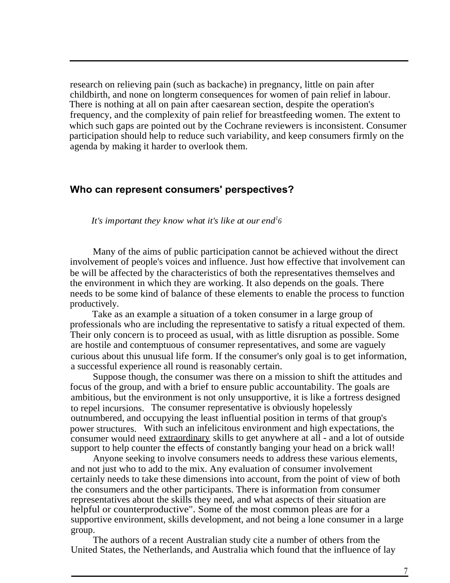research on relieving pain (such as backache) in pregnancy, little on pain after childbirth, and none on longterm consequences for women of pain relief in labour. There is nothing at all on pain after caesarean section, despite the operation's frequency, and the complexity of pain relief for breastfeeding women. The extent to which such gaps are pointed out by the Cochrane reviewers is inconsistent. Consumer participation should help to reduce such variability, and keep consumers firmly on the agenda by making it harder to overlook them.

#### **Who can represent consumers' perspectives?**

*It's important they know what it's like at our end<sup>1</sup> 6*

Many of the aims of public participation cannot be achieved without the direct involvement of people's voices and influence. Just how effective that involvement can be will be affected by the characteristics of both the representatives themselves and the environment in which they are working. It also depends on the goals. There needs to be some kind of balance of these elements to enable the process to function productively.

Take as an example a situation of a token consumer in a large group of professionals who are including the representative to satisfy a ritual expected of them. Their only concern is to proceed as usual, with as little disruption as possible. Some are hostile and contemptuous of consumer representatives, and some are vaguely curious about this unusual life form. If the consumer's only goal is to get information, a successful experience all round is reasonably certain.

Suppose though, the consumer was there on a mission to shift the attitudes and focus of the group, and with a brief to ensure public accountability. The goals are ambitious, but the environment is not only unsupportive, it is like a fortress designed to repel incursions. The consumer representative is obviously hopelessly outnumbered, and occupying the least influential position in terms of that group's power structures. With such an infelicitous environment and high expectations, the consumer would need extraordinary skills to get anywhere at all - and a lot of outside support to help counter the effects of constantly banging your head on a brick wall!

Anyone seeking to involve consumers needs to address these various elements, and not just who to add to the mix. Any evaluation of consumer involvement certainly needs to take these dimensions into account, from the point of view of both the consumers and the other participants. There is information from consumer representatives about the skills they need, and what aspects of their situation are helpful or counterproductive". Some of the most common pleas are for a supportive environment, skills development, and not being a lone consumer in a large group.

The authors of a recent Australian study cite a number of others from the United States, the Netherlands, and Australia which found that the influence of lay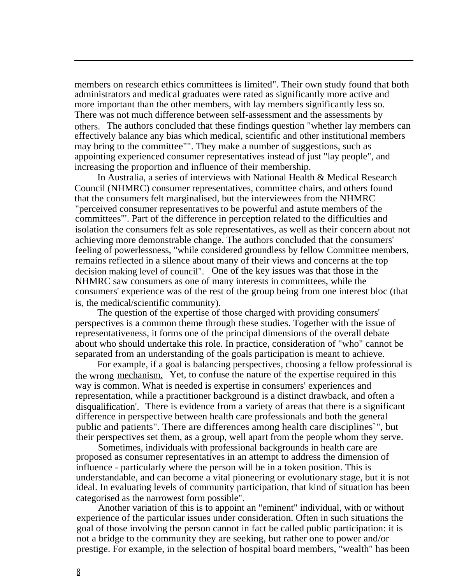members on research ethics committees is limited". Their own study found that both administrators and medical graduates were rated as significantly more active and more important than the other members, with lay members significantly less so. There was not much difference between self-assessment and the assessments by others. The authors concluded that these findings question "whether lay members can effectively balance any bias which medical, scientific and other institutional members may bring to the committee"". They make a number of suggestions, such as appointing experienced consumer representatives instead of just "lay people", and increasing the proportion and influence of their membership.

In Australia, a series of interviews with National Health & Medical Research Council (NHMRC) consumer representatives, committee chairs, and others found that the consumers felt marginalised, but the interviewees from the NHMRC "perceived consumer representatives to be powerful and astute members of the committees"'. Part of the difference in perception related to the difficulties and isolation the consumers felt as sole representatives, as well as their concern about not achieving more demonstrable change. The authors concluded that the consumers' feeling of powerlessness, "while considered groundless by fellow Committee members, remains reflected in a silence about many of their views and concerns at the top decision making level of council". One of the key issues was that those in the NHMRC saw consumers as one of many interests in committees, while the consumers' experience was of the rest of the group being from one interest bloc (that is, the medical/scientific community).

The question of the expertise of those charged with providing consumers' perspectives is a common theme through these studies. Together with the issue of representativeness, it forms one of the principal dimensions of the overall debate about who should undertake this role. In practice, consideration of "who" cannot be separated from an understanding of the goals participation is meant to achieve.

For example, if a goal is balancing perspectives, choosing a fellow professional is the wrong mechanism. Yet, to confuse the nature of the expertise required in this way is common. What is needed is expertise in consumers' experiences and representation, while a practitioner background is a distinct drawback, and often a disqualification'. There is evidence from a variety of areas that there is a significant difference in perspective between health care professionals and both the general public and patients". There are differences among health care disciplines`", but their perspectives set them, as a group, well apart from the people whom they serve.

Sometimes, individuals with professional backgrounds in health care are proposed as consumer representatives in an attempt to address the dimension of influence - particularly where the person will be in a token position. This is understandable, and can become a vital pioneering or evolutionary stage, but it is not ideal. In evaluating levels of community participation, that kind of situation has been categorised as the narrowest form possible".

Another variation of this is to appoint an "eminent" individual, with or without experience of the particular issues under consideration. Often in such situations the goal of those involving the person cannot in fact be called public participation: it is not a bridge to the community they are seeking, but rather one to power and/or prestige. For example, in the selection of hospital board members, "wealth" has been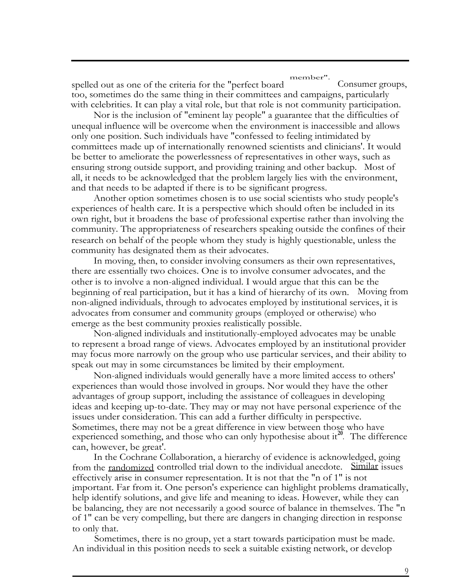member".

spelled out as one of the criteria for the "perfect board Consumer groups, too, sometimes do the same thing in their committees and campaigns, particularly with celebrities. It can play a vital role, but that role is not community participation.

Nor is the inclusion of "eminent lay people" a guarantee that the difficulties of unequal influence will be overcome when the environment is inaccessible and allows only one position. Such individuals have "confessed to feeling intimidated by committees made up of internationally renowned scientists and clinicians'. It would be better to ameliorate the powerlessness of representatives in other ways, such as ensuring strong outside support, and providing training and other backup. Most of all, it needs to be acknowledged that the problem largely lies with the environment, and that needs to be adapted if there is to be significant progress.

Another option sometimes chosen is to use social scientists who study people's experiences of health care. It is a perspective which should often be included in its own right, but it broadens the base of professional expertise rather than involving the community. The appropriateness of researchers speaking outside the confines of their research on behalf of the people whom they study is highly questionable, unless the community has designated them as their advocates.

In moving, then, to consider involving consumers as their own representatives, there are essentially two choices. One is to involve consumer advocates, and the other is to involve a non-aligned individual. I would argue that this can be the beginning of real participation, but it has a kind of hierarchy of its own. Moving from non-aligned individuals, through to advocates employed by institutional services, it is advocates from consumer and community groups (employed or otherwise) who emerge as the best community proxies realistically possible.

Non-aligned individuals and institutionally-employed advocates may be unable to represent a broad range of views. Advocates employed by an institutional provider may focus more narrowly on the group who use particular services, and their ability to speak out may in some circumstances be limited by their employment.

Non-aligned individuals would generally have a more limited access to others' experiences than would those involved in groups. Nor would they have the other advantages of group support, including the assistance of colleagues in developing ideas and keeping up-to-date. They may or may not have personal experience of the issues under consideration. This can add a further difficulty in perspective. Sometimes, there may not be a great difference in view between those who have experienced something, and those who can only hypothesise about it<sup>20</sup>. The difference can, however, be great'.

In the Cochrane Collaboration, a hierarchy of evidence is acknowledged, going from the randomized controlled trial down to the individual anecdote. Similar issues effectively arise in consumer representation. It is not that the "n of 1" is not important. Far from it. One person's experience can highlight problems dramatically, help identify solutions, and give life and meaning to ideas. However, while they can be balancing, they are not necessarily a good source of balance in themselves. The "n of 1" can be very compelling, but there are dangers in changing direction in response to only that.

Sometimes, there is no group, yet a start towards participation must be made. An individual in this position needs to seek a suitable existing network, or develop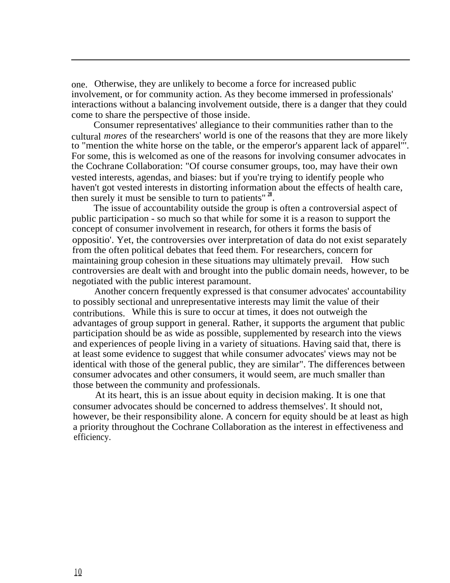one. Otherwise, they are unlikely to become a force for increased public involvement, or for community action. As they become immersed in professionals' interactions without a balancing involvement outside, there is a danger that they could come to share the perspective of those inside.

Consumer representatives' allegiance to their communities rather than to the cultural *mores* of the researchers' world is one of the reasons that they are more likely to "mention the white horse on the table, or the emperor's apparent lack of apparel"'. For some, this is welcomed as one of the reasons for involving consumer advocates in the Cochrane Collaboration: "Of course consumer groups, too, may have their own vested interests, agendas, and biases: but if you're trying to identify people who haven't got vested interests in distorting information about the effects of health care, then surely it must be sensible to turn to patients" **<sup>28</sup> .**

The issue of accountability outside the group is often a controversial aspect of public participation - so much so that while for some it is a reason to support the concept of consumer involvement in research, for others it forms the basis of oppositio'. Yet, the controversies over interpretation of data do not exist separately from the often political debates that feed them. For researchers, concern for maintaining group cohesion in these situations may ultimately prevail. How such controversies are dealt with and brought into the public domain needs, however, to be negotiated with the public interest paramount.

Another concern frequently expressed is that consumer advocates' accountability to possibly sectional and unrepresentative interests may limit the value of their contributions. While this is sure to occur at times, it does not outweigh the advantages of group support in general. Rather, it supports the argument that public participation should be as wide as possible, supplemented by research into the views and experiences of people living in a variety of situations. Having said that, there is at least some evidence to suggest that while consumer advocates' views may not be identical with those of the general public, they are similar". The differences between consumer advocates and other consumers, it would seem, are much smaller than those between the community and professionals.

At its heart, this is an issue about equity in decision making. It is one that consumer advocates should be concerned to address themselves'. It should not, however, be their responsibility alone. A concern for equity should be at least as high a priority throughout the Cochrane Collaboration as the interest in effectiveness and efficiency.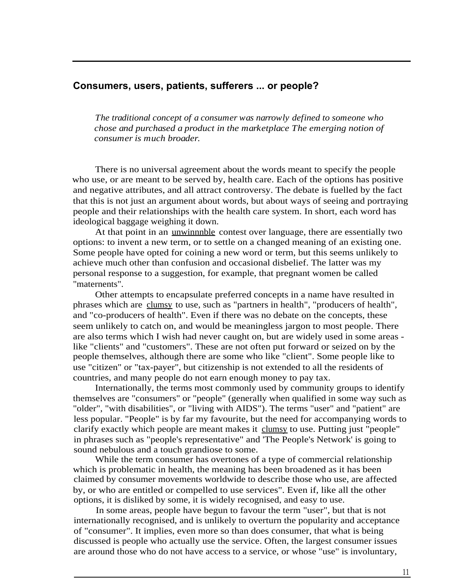#### **Consumers, users, patients, sufferers ... or people?**

*The traditional concept of a consumer was narrowly defined to someone who chose and purchased a product in the marketplace The emerging notion of consumer is much broader.*

There is no universal agreement about the words meant to specify the people who use, or are meant to be served by, health care. Each of the options has positive and negative attributes, and all attract controversy. The debate is fuelled by the fact that this is not just an argument about words, but about ways of seeing and portraying people and their relationships with the health care system. In short, each word has ideological baggage weighing it down.

At that point in an unwinnnble contest over language, there are essentially two options: to invent a new term, or to settle on a changed meaning of an existing one. Some people have opted for coining a new word or term, but this seems unlikely to achieve much other than confusion and occasional disbelief. The latter was my personal response to a suggestion, for example, that pregnant women be called "maternents".

Other attempts to encapsulate preferred concepts in a name have resulted in phrases which are clumsy to use, such as "partners in health", "producers of health", and "co-producers of health". Even if there was no debate on the concepts, these seem unlikely to catch on, and would be meaningless jargon to most people. There are also terms which I wish had never caught on, but are widely used in some areas like "clients" and "customers". These are not often put forward or seized on by the people themselves, although there are some who like "client". Some people like to use "citizen" or "tax-payer", but citizenship is not extended to all the residents of countries, and many people do not earn enough money to pay tax.

Internationally, the terms most commonly used by community groups to identify themselves are "consumers" or "people" (generally when qualified in some way such as "older", "with disabilities", or "living with AIDS"). The terms "user" and "patient" are less popular. "People" is by far my favourite, but the need for accompanying words to clarify exactly which people are meant makes it clumsy to use. Putting just "people" in phrases such as "people's representative" and 'The People's Network' is going to sound nebulous and a touch grandiose to some.

While the term consumer has overtones of a type of commercial relationship which is problematic in health, the meaning has been broadened as it has been claimed by consumer movements worldwide to describe those who use, are affected by, or who are entitled or compelled to use services". Even if, like all the other options, it is disliked by some, it is widely recognised, and easy to use.

In some areas, people have begun to favour the term "user", but that is not internationally recognised, and is unlikely to overturn the popularity and acceptance of "consumer". It implies, even more so than does consumer, that what is being discussed is people who actually use the service. Often, the largest consumer issues are around those who do not have access to a service, or whose "use" is involuntary,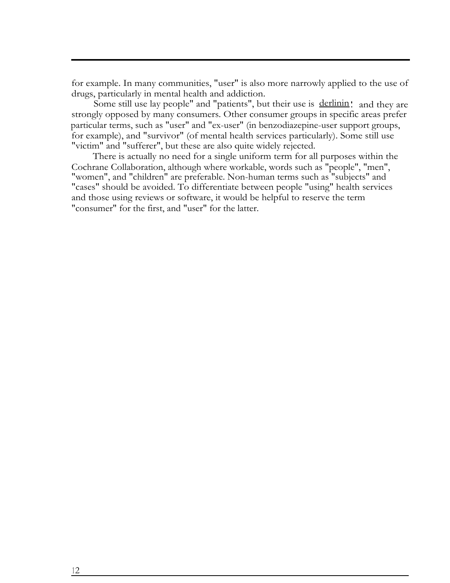for example. In many communities, "user" is also more narrowly applied to the use of drugs, particularly in mental health and addiction.

Some still use lay people" and "patients", but their use is derlinin! and they are strongly opposed by many consumers. Other consumer groups in specific areas prefer particular terms, such as "user" and "ex-user" (in benzodiazepine-user support groups, for example), and "survivor" (of mental health services particularly). Some still use "victim" and "sufferer", but these are also quite widely rejected.

There is actually no need for a single uniform term for all purposes within the Cochrane Collaboration, although where workable, words such as "people", "men", "women", and "children" are preferable. Non-human terms such as "subjects" and "cases" should be avoided. To differentiate between people "using" health services and those using reviews or software, it would be helpful to reserve the term "consumer" for the first, and "user" for the latter.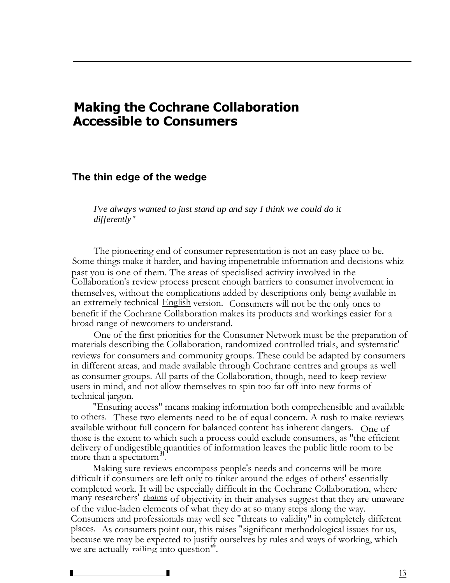## **Making the Cochrane Collaboration Accessible to Consumers**

#### **The thin edge of the wedge**

*I've always wanted to just stand up and say I think we could do it differently"*

The pioneering end of consumer representation is not an easy place to be. Some things make it harder, and having impenetrable information and decisions whiz past you is one of them. The areas of specialised activity involved in the Collaboration's review process present enough barriers to consumer involvement in themselves, without the complications added by descriptions only being available in an extremely technical English version. Consumers will not be the only ones to benefit if the Cochrane Collaboration makes its products and workings easier for a broad range of newcomers to understand.

One of the first priorities for the Consumer Network must be the preparation of materials describing the Collaboration, randomized controlled trials, and systematic' reviews for consumers and community groups. These could be adapted by consumers in different areas, and made available through Cochrane centres and groups as well as consumer groups. All parts of the Collaboration, though, need to keep review users in mind, and not allow themselves to spin too far off into new forms of technical jargon.

"Ensuring access" means making information both comprehensible and available to others. These two elements need to be of equal concern. A rush to make reviews available without full concern for balanced content has inherent dangers. One of those is the extent to which such a process could exclude consumers, as "the efficient delivery of undigestible quantities of information leaves the public little room to be more than a spectatorn**<sup>31</sup>** .

Making sure reviews encompass people's needs and concerns will be more difficult if consumers are left only to tinker around the edges of others' essentially completed work. It will be especially difficult in the Cochrane Collaboration, where many researchers' rhaims of objectivity in their analyses suggest that they are unaware of the value-laden elements of what they do at so many steps along the way. Consumers and professionals may well see "threats to validity" in completely different places. As consumers point out, this raises "significant methodological issues for us, because we may be expected to justify ourselves by rules and ways of working, which we are actually **railing** into question<sup>"</sup>. a t]d n d c n o C p b w ■

г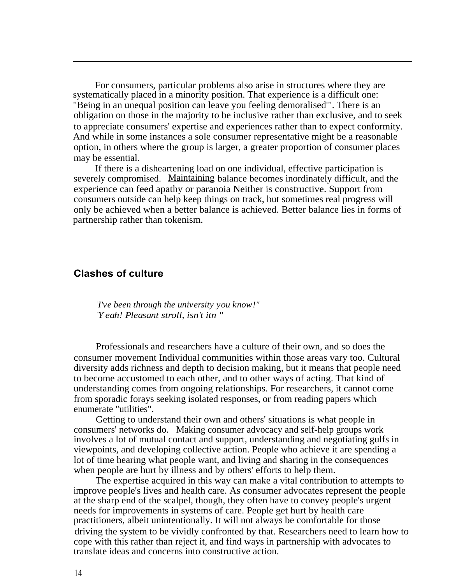For consumers, particular problems also arise in structures where they are systematically placed in a minority position. That experience is a difficult one: "Being in an unequal position can leave you feeling demoralised'". There is an obligation on those in the majority to be inclusive rather than exclusive, and to seek to appreciate consumers' expertise and experiences rather than to expect conformity. And while in some instances a sole consumer representative might be a reasonable option, in others where the group is larger, a greater proportion of consumer places may be essential.

If there is a disheartening load on one individual, effective participation is severely compromised. Maintaining balance becomes inordinately difficult, and the experience can feed apathy or paranoia Neither is constructive. Support from consumers outside can help keep things on track, but sometimes real progress will only be achieved when a better balance is achieved. Better balance lies in forms of partnership rather than tokenism.

#### **Clashes of culture**

*'I've been through the university you know!" 'Yeah! Pleasant stroll, isn't itn "*

Professionals and researchers have a culture of their own, and so does the consumer movement Individual communities within those areas vary too. Cultural diversity adds richness and depth to decision making, but it means that people need to become accustomed to each other, and to other ways of acting. That kind of understanding comes from ongoing relationships. For researchers, it cannot come from sporadic forays seeking isolated responses, or from reading papers which enumerate "utilities".

Getting to understand their own and others' situations is what people in consumers' networks do. Making consumer advocacy and self-help groups work involves a lot of mutual contact and support, understanding and negotiating gulfs in viewpoints, and developing collective action. People who achieve it are spending a lot of time hearing what people want, and living and sharing in the consequences when people are hurt by illness and by others' efforts to help them.

The expertise acquired in this way can make a vital contribution to attempts to improve people's lives and health care. As consumer advocates represent the people at the sharp end of the scalpel, though, they often have to convey people's urgent needs for improvements in systems of care. People get hurt by health care practitioners, albeit unintentionally. It will not always be comfortable for those driving the system to be vividly confronted by that. Researchers need to learn how to cope with this rather than reject it, and find ways in partnership with advocates to translate ideas and concerns into constructive action.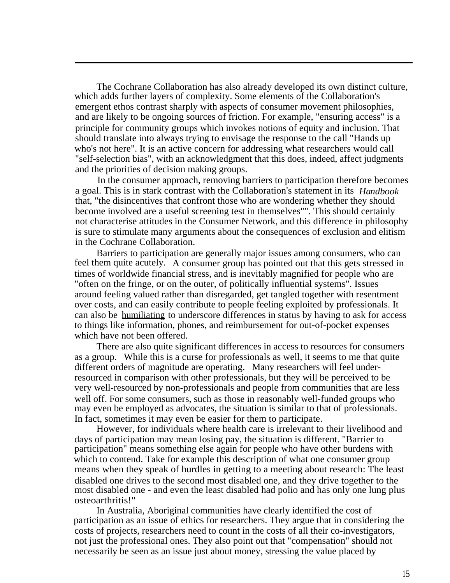The Cochrane Collaboration has also already developed its own distinct culture, which adds further layers of complexity. Some elements of the Collaboration's emergent ethos contrast sharply with aspects of consumer movement philosophies, and are likely to be ongoing sources of friction. For example, "ensuring access" is a principle for community groups which invokes notions of equity and inclusion. That should translate into always trying to envisage the response to the call "Hands up who's not here". It is an active concern for addressing what researchers would call "self-selection bias", with an acknowledgment that this does, indeed, affect judgments and the priorities of decision making groups.

In the consumer approach, removing barriers to participation therefore becomes a goal. This is in stark contrast with the Collaboration's statement in its *Handbook* that, "the disincentives that confront those who are wondering whether they should become involved are a useful screening test in themselves"". This should certainly not characterise attitudes in the Consumer Network, and this difference in philosophy is sure to stimulate many arguments about the consequences of exclusion and elitism in the Cochrane Collaboration.

Barriers to participation are generally major issues among consumers, who can feel them quite acutely. A consumer group has pointed out that this gets stressed in times of worldwide financial stress, and is inevitably magnified for people who are "often on the fringe, or on the outer, of politically influential systems". Issues around feeling valued rather than disregarded, get tangled together with resentment over costs, and can easily contribute to people feeling exploited by professionals. It can also be humiliating to underscore differences in status by having to ask for access to things like information, phones, and reimbursement for out-of-pocket expenses which have not been offered.

There are also quite significant differences in access to resources for consumers as a group. While this is a curse for professionals as well, it seems to me that quite different orders of magnitude are operating. Many researchers will feel underresourced in comparison with other professionals, but they will be perceived to be very well-resourced by non-professionals and people from communities that are less well off. For some consumers, such as those in reasonably well-funded groups who may even be employed as advocates, the situation is similar to that of professionals. In fact, sometimes it may even be easier for them to participate.

However, for individuals where health care is irrelevant to their livelihood and days of participation may mean losing pay, the situation is different. "Barrier to participation" means something else again for people who have other burdens with which to contend. Take for example this description of what one consumer group means when they speak of hurdles in getting to a meeting about research: The least disabled one drives to the second most disabled one, and they drive together to the most disabled one - and even the least disabled had polio and has only one lung plus osteoarthritis!"

In Australia, Aboriginal communities have clearly identified the cost of participation as an issue of ethics for researchers. They argue that in considering the costs of projects, researchers need to count in the costs of all their co-investigators, not just the professional ones. They also point out that "compensation" should not necessarily be seen as an issue just about money, stressing the value placed by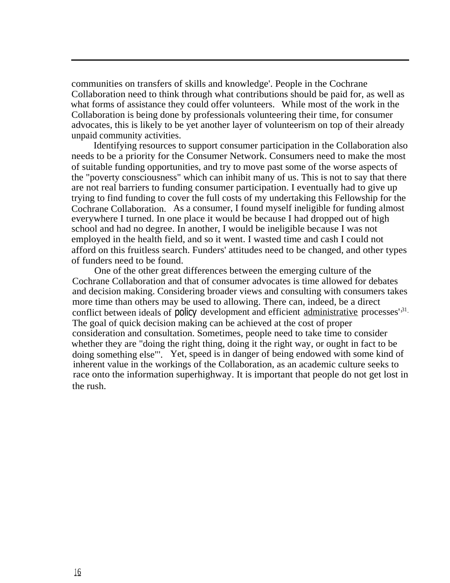communities on transfers of skills and knowledge'. People in the Cochrane Collaboration need to think through what contributions should be paid for, as well as what forms of assistance they could offer volunteers. While most of the work in the Collaboration is being done by professionals volunteering their time, for consumer advocates, this is likely to be yet another layer of volunteerism on top of their already unpaid community activities.

Identifying resources to support consumer participation in the Collaboration also needs to be a priority for the Consumer Network. Consumers need to make the most of suitable funding opportunities, and try to move past some of the worse aspects of the "poverty consciousness" which can inhibit many of us. This is not to say that there are not real barriers to funding consumer participation. I eventually had to give up trying to find funding to cover the full costs of my undertaking this Fellowship for the Cochrane Collaboration. As a consumer, I found myself ineligible for funding almost everywhere I turned. In one place it would be because I had dropped out of high school and had no degree. In another, I would be ineligible because I was not employed in the health field, and so it went. I wasted time and cash I could not afford on this fruitless search. Funders' attitudes need to be changed, and other types of funders need to be found.

One of the other great differences between the emerging culture of the Cochrane Collaboration and that of consumer advocates is time allowed for debates and decision making. Considering broader views and consulting with consumers takes more time than others may be used to allowing. There can, indeed, be a direct conflict between ideals of policy development and efficient administrative processes'<sup>31</sup>. The goal of quick decision making can be achieved at the cost of proper consideration and consultation. Sometimes, people need to take time to consider whether they are "doing the right thing, doing it the right way, or ought in fact to be doing something else"'. Yet, speed is in danger of being endowed with some kind of inherent value in the workings of the Collaboration, as an academic culture seeks to race onto the information superhighway. It is important that people do not get lost in the rush.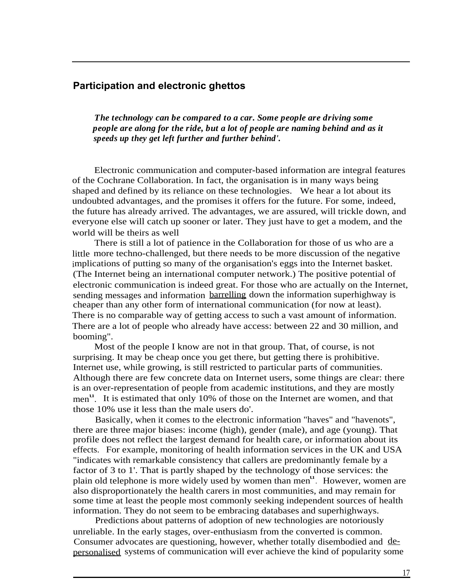#### **Participation and electronic ghettos**

*The technology can be compared to a car. Some people are driving some people are along for the ride, but a lot of people are naming behind and as it speeds up they get left further and further behind'.*

Electronic communication and computer-based information are integral features of the Cochrane Collaboration. In fact, the organisation is in many ways being shaped and defined by its reliance on these technologies. We hear a lot about its undoubted advantages, and the promises it offers for the future. For some, indeed, the future has already arrived. The advantages, we are assured, will trickle down, and everyone else will catch up sooner or later. They just have to get a modem, and the world will be theirs as well

There is still a lot of patience in the Collaboration for those of us who are a little more techno-challenged, but there needs to be more discussion of the negative implications of putting so many of the organisation's eggs into the Internet basket. (The Internet being an international computer network.) The positive potential of electronic communication is indeed great. For those who are actually on the Internet, sending messages and information barrelling down the information superhighway is cheaper than any other form of international communication (for now at least). There is no comparable way of getting access to such a vast amount of information. There are a lot of people who already have access: between 22 and 30 million, and booming".

Most of the people I know are not in that group. That, of course, is not surprising. It may be cheap once you get there, but getting there is prohibitive. Internet use, while growing, is still restricted to particular parts of communities. Although there are few concrete data on Internet users, some things are clear: there is an over-representation of people from academic institutions, and they are mostly men<sup>u</sup>. It is estimated that only 10% of those on the Internet are women, and that those 10% use it less than the male users do'.

Basically, when it comes to the electronic information "haves" and "havenots", there are three major biases: income (high), gender (male), and age (young). That profile does not reflect the largest demand for health care, or information about its effects. For example, monitoring of health information services in the UK and USA "indicates with remarkable consistency that callers are predominantly female by a factor of 3 to 1'. That is partly shaped by the technology of those services: the ractor of  $3.601$ . That is partly shaped by the technology of those services, the plain old telephone is more widely used by women than men<sup>u</sup>. However, women are also disproportionately the health carers in most communities, and may remain for some time at least the people most commonly seeking independent sources of health information. They do not seem to be embracing databases and superhighways.

Predictions about patterns of adoption of new technologies are notoriously unreliable. In the early stages, over-enthusiasm from the converted is common. Consumer advocates are questioning, however, whether totally disembodied and depersonalised systems of communication will ever achieve the kind of popularity some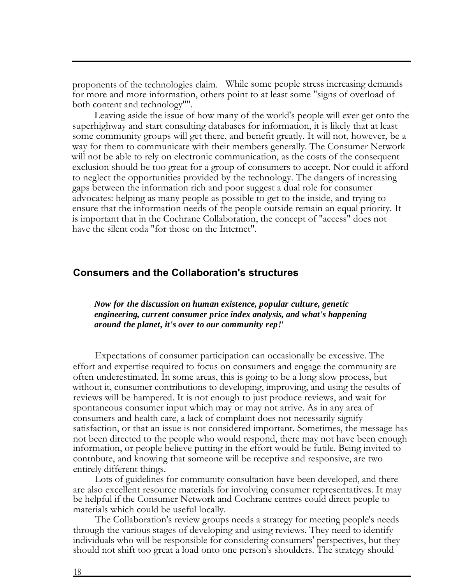proponents of the technologies claim. While some people stress increasing demands for more and more information, others point to at least some "signs of overload of both content and technology"".

Leaving aside the issue of how many of the world's people will ever get onto the superhighway and start consulting databases for information, it is likely that at least some community groups will get there, and benefit greatly. It will not, however, be a way for them to communicate with their members generally. The Consumer Network will not be able to rely on electronic communication, as the costs of the consequent exclusion should be too great for a group of consumers to accept. Nor could it afford to neglect the opportunities provided by the technology. The dangers of increasing gaps between the information rich and poor suggest a dual role for consumer advocates: helping as many people as possible to get to the inside, and trying to ensure that the information needs of the people outside remain an equal priority. It is important that in the Cochrane Collaboration, the concept of "access" does not have the silent coda "for those on the Internet".

#### **Consumers and the Collaboration's structures**

*Now for the discussion on human existence, popular culture, genetic engineering, current consumer price index analysis, and what's happening around the planet, it's over to our community rep!'*

Expectations of consumer participation can occasionally be excessive. The effort and expertise required to focus on consumers and engage the community are often underestimated. In some areas, this is going to be a long slow process, but without it, consumer contributions to developing, improving, and using the results of reviews will be hampered. It is not enough to just produce reviews, and wait for spontaneous consumer input which may or may not arrive. As in any area of consumers and health care, a lack of complaint does not necessarily signify satisfaction, or that an issue is not considered important. Sometimes, the message has not been directed to the people who would respond, there may not have been enough information, or people believe putting in the effort would be futile. Being invited to contnbute, and knowing that someone will be receptive and responsive, are two entirely different things.

Lots of guidelines for community consultation have been developed, and there are also excellent resource materials for involving consumer representatives. It may be helpful if the Consumer Network and Cochrane centres could direct people to materials which could be useful locally.

The Collaboration's review groups needs a strategy for meeting people's needs through the various stages of developing and using reviews. They need to identify individuals who will be responsible for considering consumers' perspectives, but they should not shift too great a load onto one person's shoulders. The strategy should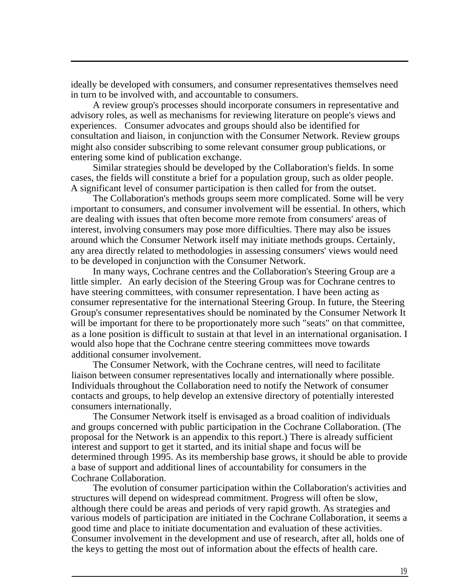ideally be developed with consumers, and consumer representatives themselves need in turn to be involved with, and accountable to consumers.

A review group's processes should incorporate consumers in representative and advisory roles, as well as mechanisms for reviewing literature on people's views and experiences. Consumer advocates and groups should also be identified for consultation and liaison, in conjunction with the Consumer Network. Review groups might also consider subscribing to some relevant consumer group publications, or entering some kind of publication exchange.

Similar strategies should be developed by the Collaboration's fields. In some cases, the fields will constitute a brief for a population group, such as older people. A significant level of consumer participation is then called for from the outset.

The Collaboration's methods groups seem more complicated. Some will be very important to consumers, and consumer involvement will be essential. In others, which are dealing with issues that often become more remote from consumers' areas of interest, involving consumers may pose more difficulties. There may also be issues around which the Consumer Network itself may initiate methods groups. Certainly, any area directly related to methodologies in assessing consumers' views would need to be developed in conjunction with the Consumer Network.

In many ways, Cochrane centres and the Collaboration's Steering Group are a little simpler. An early decision of the Steering Group was for Cochrane centres to have steering committees, with consumer representation. I have been acting as consumer representative for the international Steering Group. In future, the Steering Group's consumer representatives should be nominated by the Consumer Network It will be important for there to be proportionately more such "seats" on that committee, as a lone position is difficult to sustain at that level in an international organisation. I would also hope that the Cochrane centre steering committees move towards additional consumer involvement.

The Consumer Network, with the Cochrane centres, will need to facilitate liaison between consumer representatives locally and internationally where possible. Individuals throughout the Collaboration need to notify the Network of consumer contacts and groups, to help develop an extensive directory of potentially interested consumers internationally.

The Consumer Network itself is envisaged as a broad coalition of individuals and groups concerned with public participation in the Cochrane Collaboration. (The proposal for the Network is an appendix to this report.) There is already sufficient interest and support to get it started, and its initial shape and focus will be determined through 1995. As its membership base grows, it should be able to provide a base of support and additional lines of accountability for consumers in the Cochrane Collaboration.

The evolution of consumer participation within the Collaboration's activities and structures will depend on widespread commitment. Progress will often be slow, although there could be areas and periods of very rapid growth. As strategies and various models of participation are initiated in the Cochrane Collaboration, it seems a good time and place to initiate documentation and evaluation of these activities. Consumer involvement in the development and use of research, after all, holds one of the keys to getting the most out of information about the effects of health care.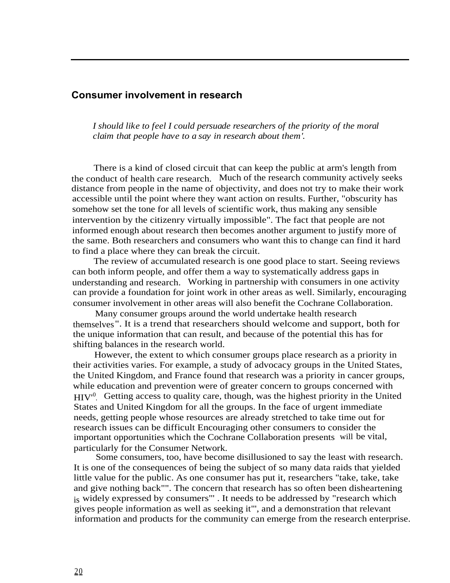#### **Consumer involvement in research**

*I should like to feel I could persuade researchers of the priority of the moral claim that people have to a say in research about them'.*

There is a kind of closed circuit that can keep the public at arm's length from the conduct of health care research. Much of the research community actively seeks distance from people in the name of objectivity, and does not try to make their work accessible until the point where they want action on results. Further, "obscurity has somehow set the tone for all levels of scientific work, thus making any sensible intervention by the citizenry virtually impossible". The fact that people are not informed enough about research then becomes another argument to justify more of the same. Both researchers and consumers who want this to change can find it hard to find a place where they can break the circuit.

The review of accumulated research is one good place to start. Seeing reviews can both inform people, and offer them a way to systematically address gaps in understanding and research. Working in partnership with consumers in one activity can provide a foundation for joint work in other areas as well. Similarly, encouraging consumer involvement in other areas will also benefit the Cochrane Collaboration.

Many consumer groups around the world undertake health research themselves". It is a trend that researchers should welcome and support, both for the unique information that can result, and because of the potential this has for shifting balances in the research world.

However, the extent to which consumer groups place research as a priority in their activities varies. For example, a study of advocacy groups in the United States, the United Kingdom, and France found that research was a priority in cancer groups, while education and prevention were of greater concern to groups concerned with HIV'<sup>0</sup> . Getting access to quality care, though, was the highest priority in the United States and United Kingdom for all the groups. In the face of urgent immediate needs, getting people whose resources are already stretched to take time out for research issues can be difficult Encouraging other consumers to consider the important opportunities which the Cochrane Collaboration presents will be vital, particularly for the Consumer Network.

Some consumers, too, have become disillusioned to say the least with research. It is one of the consequences of being the subject of so many data raids that yielded little value for the public. As one consumer has put it, researchers "take, take, take and give nothing back"". The concern that research has so often been disheartening is widely expressed by consumers"' . It needs to be addressed by "research which gives people information as well as seeking it"', and a demonstration that relevant information and products for the community can emerge from the research enterprise.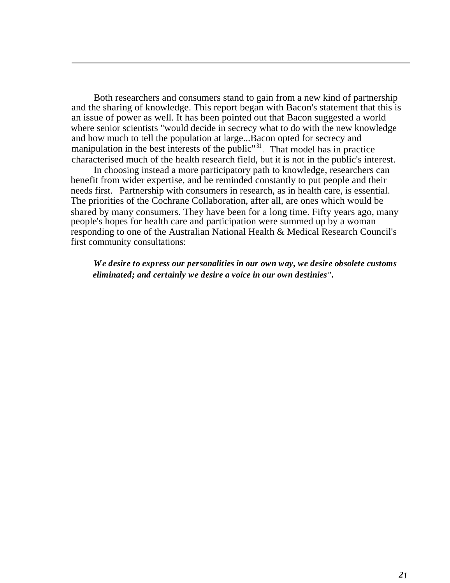Both researchers and consumers stand to gain from a new kind of partnership and the sharing of knowledge. This report began with Bacon's statement that this is an issue of power as well. It has been pointed out that Bacon suggested a world where senior scientists "would decide in secrecy what to do with the new knowledge and how much to tell the population at large...Bacon opted for secrecy and manipulation in the best interests of the public<sup>"31</sup>. That model has in practice characterised much of the health research field, but it is not in the public's interest.

In choosing instead a more participatory path to knowledge, researchers can benefit from wider expertise, and be reminded constantly to put people and their needs first. Partnership with consumers in research, as in health care, is essential. The priorities of the Cochrane Collaboration, after all, are ones which would be shared by many consumers. They have been for a long time. Fifty years ago, many people's hopes for health care and participation were summed up by a woman responding to one of the Australian National Health & Medical Research Council's first community consultations:

*We desire to express our personalities in our own way, we desire obsolete customs eliminated; and certainly we desire a voice in our own destinies".*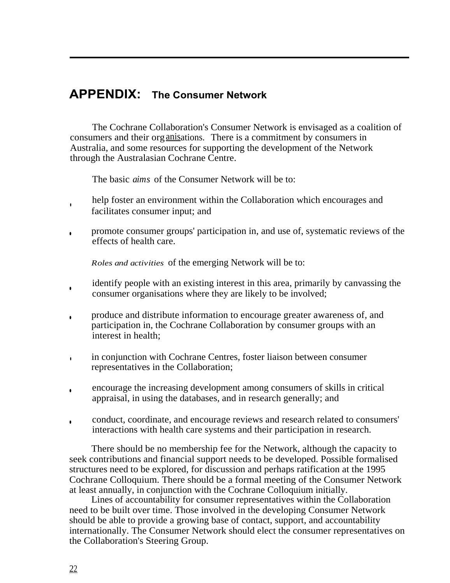### **APPENDIX: The Consumer Network**

The Cochrane Collaboration's Consumer Network is envisaged as a coalition of consumers and their organisations. There is a commitment by consumers in Australia, and some resources for supporting the development of the Network through the Australasian Cochrane Centre.

The basic *aims* of the Consumer Network will be to:

- help foster an environment within the Collaboration which encourages and facilitates consumer input; and
- promote consumer groups' participation in, and use of, systematic reviews of the effects of health care.

*Roles and activities* of the emerging Network will be to:

- identify people with an existing interest in this area, primarily by canvassing the consumer organisations where they are likely to be involved;
- produce and distribute information to encourage greater awareness of, and participation in, the Cochrane Collaboration by consumer groups with an interest in health;
- in conjunction with Cochrane Centres, foster liaison between consumer representatives in the Collaboration;
- encourage the increasing development among consumers of skills in critical appraisal, in using the databases, and in research generally; and
- conduct, coordinate, and encourage reviews and research related to consumers' interactions with health care systems and their participation in research.

There should be no membership fee for the Network, although the capacity to seek contributions and financial support needs to be developed. Possible formalised structures need to be explored, for discussion and perhaps ratification at the 1995 Cochrane Colloquium. There should be a formal meeting of the Consumer Network at least annually, in conjunction with the Cochrane Colloquium initially.

Lines of accountability for consumer representatives within the Collaboration need to be built over time. Those involved in the developing Consumer Network should be able to provide a growing base of contact, support, and accountability internationally. The Consumer Network should elect the consumer representatives on the Collaboration's Steering Group.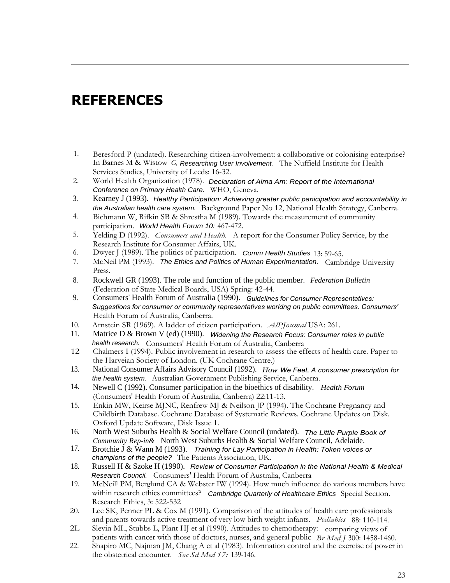## **REFERENCES**

- 1. Beresford P (undated). Researching citizen-involvement: a collaborative or colonising enterprise? In Barnes M & Wistow *G,* Researching User Involvement. The Nuffield Institute for Health Services Studies, University of Leeds: 16-32.
- 2. World Health Organization (1978). Declaration of Alma Am: Report of the International Conference on Primary Health Care. WHO, Geneva.
- 3. Kearney J (1993). *Healthy Participation: Achieving greater public panicipation and accountability in* the Australian health care system. Background Paper No 12, National Health Strategy, Canberra.
- 4. Bichmann W, Rifkin SB & Shrestha M (1989). Towards the measurement of community participation. World Health Forum 10: 467-472.
- 5. Yelding D (1992). *Consumers and Health.* A report for the Consumer Policy Service, by the Research Institute for Consumer Affairs, UK.
- 6. Dwyer J (1989). The politics of participation. Comm Health Studies 13: 59-65.
- 7. McNeil PM (1993). The Ethics and Politics of Human Experimentation. Cambridge University Press.
- 8. Rockwell GR (1993). The role and function of the public member. *Federation Bulletin* (Federation of State Medical Boards, USA) Spring: 42-44.
- 9. Consumers' Health Forum of Australia (1990). *Guidelines for Consumer Representatives: Suggestions for consumer or community representatives worldng on public committees. Consumers'* Health Forum of Australia, Canberra.
- 10. Arnstein SR (1969). A ladder of citizen participation. *AlPJoumal* USA: 261.
- Matrice D & Brown V (ed) (1990). *Widening the Research Focus: Consumer roles in public* health research. Consumers' Health Forum of Australia, Canberra
- 12 Chalmers I (1994). Public involvement in research to assess the effects of health care. Paper to the Harveian Society of London. (UK Cochrane Centre.)
- 13. National Consumer Affairs Advisory Council (1992). *How We FeeL A consumer prescription for* the health system. Australian Government Publishing Service, Canberra.
- 14. Newell C (1992). Consumer participation in the bioethics of disability. *Health Forum* (Consumers' Health Forum of Australia, Canberra) 22:11-13.
- 15. Enkin MW, Keirse MJNC, Renfrew MJ & Neilson JP (1994). The Cochrane Pregnancy and Childbirth Database. Cochrane Database of Systematic Reviews. Cochrane Updates on Disk. Oxford Update Software, Disk Issue 1.
- 16. North West Suburbs Health & Social Welfare Council (undated). *The Little Purple Book of Community Rep-in&* North West Suburbs Health & Social Welfare Council, Adelaide.
- 17. Brotchie J & Wann M (1993). *Training for Lay Participation in Health: Token voices or* champions of the people? The Patients Association, UK.
- 18. Russell H & Szoke H (1990). *Review of Consumer Participation in the National Health & Medical* Research Council. Consumers' Health Forum of Australia, Canberra
- 19. McNeill PM, Berglund CA & Webster IW (1994). How much influence do various members have within research ethics committees? Cambridge Quarterly of Healthcare Ethics Special Section. Research Ethics, 3: 522-532
- 20. Lee SK, Penner PL & Cox M (1991). Comparison of the attitudes of health care professionals and parents towards active treatment of very low birth weight infants. *Pediabics* 88: 110-114.
- 2L Slevin MI., Stubbs L, Plant HJ et al (1990). Attitudes to chemotherapy: comparing views of patients with cancer with those of doctors, nurses, and general public *Br Med J* 300: 1458-1460.
- 22. Shapiro MC, Najman JM, Chang A et al (1983). Information control and the exercise of power in the obstetrical encounter. *Soc Sd Med 17:* 139-146.